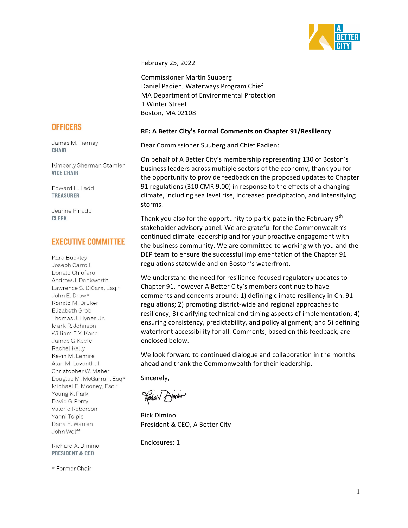

February 25, 2022

Commissioner Martin Suuberg Daniel Padien, Waterways Program Chief MA Department of Environmental Protection 1 Winter Street Boston, MA 02108

# **RE: A Better City's Formal Comments on Chapter 91/Resiliency**

Dear Commissioner Suuberg and Chief Padien:

On behalf of A Better City's membership representing 130 of Boston's business leaders across multiple sectors of the economy, thank you for the opportunity to provide feedback on the proposed updates to Chapter 91 regulations (310 CMR 9.00) in response to the effects of a changing climate, including sea level rise, increased precipitation, and intensifying storms.

Thank you also for the opportunity to participate in the February  $9<sup>th</sup>$ stakeholder advisory panel. We are grateful for the Commonwealth's continued climate leadership and for your proactive engagement with the business community. We are committed to working with you and the DEP team to ensure the successful implementation of the Chapter 91 regulations statewide and on Boston's waterfront.

We understand the need for resilience-focused regulatory updates to Chapter 91, however A Better City's members continue to have comments and concerns around: 1) defining climate resiliency in Ch. 91 regulations; 2) promoting district-wide and regional approaches to resiliency; 3) clarifying technical and timing aspects of implementation; 4) ensuring consistency, predictability, and policy alignment; and 5) defining waterfront accessibility for all. Comments, based on this feedback, are enclosed below.

We look forward to continued dialogue and collaboration in the months ahead and thank the Commonwealth for their leadership.

Sincerely,

Rena V Dimmo

Rick Dimino President & CEO, A Better City

Enclosures: 1

# **OFFICERS**

James M. Tierney **CHAIR** 

Kimberly Sherman Stamler **VICE CHAIR** 

Edward H. Ladd **TREASURER** 

Jeanne Pinado **CLERK** 

# **EXECUTIVE COMMITTEE**

Kara Buckley Joseph Carroll Donald Chiofaro Andrew J. Dankwerth Lawrence S. DiCara, Esq.\* John E. Drew\* Ronald M. Druker Elizabeth Grob Thomas J. Hynes, Jr. Mark R. Johnson William F.X. Kane James G. Keefe Rachel Kelly Kevin M. Lemire Alan M. Leventhal Christopher W. Maher Douglas M. McGarrah, Esq\* Michael E. Mooney, Esq.\* Young K. Park David G. Perry Valerie Roberson Yanni Tsipis Dana E. Warren John Wolff

Richard A. Dimino **PRESIDENT & CEO** 

\* Former Chair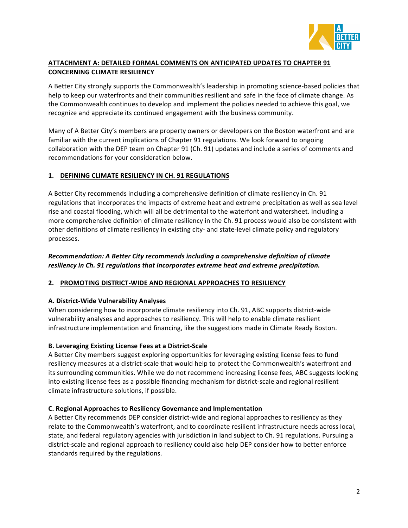

# **ATTACHMENT A: DETAILED FORMAL COMMENTS ON ANTICIPATED UPDATES TO CHAPTER 91 CONCERNING CLIMATE RESILIENCY**

A Better City strongly supports the Commonwealth's leadership in promoting science-based policies that help to keep our waterfronts and their communities resilient and safe in the face of climate change. As the Commonwealth continues to develop and implement the policies needed to achieve this goal, we recognize and appreciate its continued engagement with the business community.

Many of A Better City's members are property owners or developers on the Boston waterfront and are familiar with the current implications of Chapter 91 regulations. We look forward to ongoing collaboration with the DEP team on Chapter 91 (Ch. 91) updates and include a series of comments and recommendations for your consideration below.

# **1. DEFINING CLIMATE RESILIENCY IN CH. 91 REGULATIONS**

A Better City recommends including a comprehensive definition of climate resiliency in Ch. 91 regulations that incorporates the impacts of extreme heat and extreme precipitation as well as sea level rise and coastal flooding, which will all be detrimental to the waterfont and watersheet. Including a more comprehensive definition of climate resiliency in the Ch. 91 process would also be consistent with other definitions of climate resiliency in existing city- and state-level climate policy and regulatory processes.

# *Recommendation: A Better City recommends including a comprehensive definition of climate*  resiliency in Ch. 91 regulations that incorporates extreme heat and extreme precipitation.

# **2. PROMOTING DISTRICT-WIDE AND REGIONAL APPROACHES TO RESILIENCY**

## **A. District-Wide Vulnerability Analyses**

When considering how to incorporate climate resiliency into Ch. 91, ABC supports district-wide vulnerability analyses and approaches to resiliency. This will help to enable climate resilient infrastructure implementation and financing, like the suggestions made in Climate Ready Boston.

## **B. Leveraging Existing License Fees at a District-Scale**

A Better City members suggest exploring opportunities for leveraging existing license fees to fund resiliency measures at a district-scale that would help to protect the Commonwealth's waterfront and its surrounding communities. While we do not recommend increasing license fees, ABC suggests looking into existing license fees as a possible financing mechanism for district-scale and regional resilient climate infrastructure solutions, if possible.

## **C. Regional Approaches to Resiliency Governance and Implementation**

A Better City recommends DEP consider district-wide and regional approaches to resiliency as they relate to the Commonwealth's waterfront, and to coordinate resilient infrastructure needs across local, state, and federal regulatory agencies with jurisdiction in land subject to Ch. 91 regulations. Pursuing a district-scale and regional approach to resiliency could also help DEP consider how to better enforce standards required by the regulations.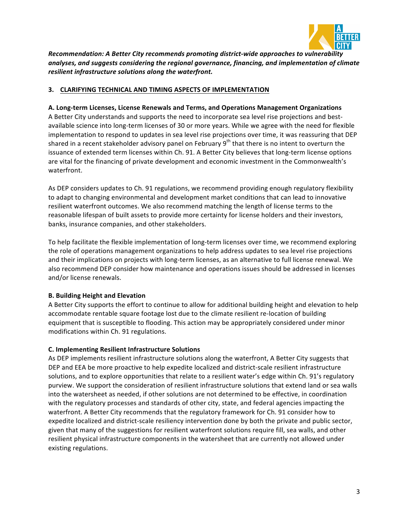

*Recommendation: A Better City recommends promoting district-wide approaches to vulnerability analyses, and suggests considering the regional governance, financing, and implementation of climate resilient infrastructure solutions along the waterfront.* 

# **3. CLARIFYING TECHNICAL AND TIMING ASPECTS OF IMPLEMENTATION**

# **A. Long-term Licenses, License Renewals and Terms, and Operations Management Organizations**

A Better City understands and supports the need to incorporate sea level rise projections and bestavailable science into long-term licenses of 30 or more years. While we agree with the need for flexible implementation to respond to updates in sea level rise projections over time, it was reassuring that DEP shared in a recent stakeholder advisory panel on February  $9<sup>th</sup>$  that there is no intent to overturn the issuance of extended term licenses within Ch. 91. A Better City believes that long-term license options are vital for the financing of private development and economic investment in the Commonwealth's waterfront.

As DEP considers updates to Ch. 91 regulations, we recommend providing enough regulatory flexibility to adapt to changing environmental and development market conditions that can lead to innovative resilient waterfront outcomes. We also recommend matching the length of license terms to the reasonable lifespan of built assets to provide more certainty for license holders and their investors, banks, insurance companies, and other stakeholders.

To help facilitate the flexible implementation of long-term licenses over time, we recommend exploring the role of operations management organizations to help address updates to sea level rise projections and their implications on projects with long-term licenses, as an alternative to full license renewal. We also recommend DEP consider how maintenance and operations issues should be addressed in licenses and/or license renewals.

## **B. Building Height and Elevation**

A Better City supports the effort to continue to allow for additional building height and elevation to help accommodate rentable square footage lost due to the climate resilient re-location of building equipment that is susceptible to flooding. This action may be appropriately considered under minor modifications within Ch. 91 regulations.

#### **C. Implementing Resilient Infrastructure Solutions**

As DEP implements resilient infrastructure solutions along the waterfront, A Better City suggests that DEP and EEA be more proactive to help expedite localized and district-scale resilient infrastructure solutions, and to explore opportunities that relate to a resilient water's edge within Ch. 91's regulatory purview. We support the consideration of resilient infrastructure solutions that extend land or sea walls into the watersheet as needed, if other solutions are not determined to be effective, in coordination with the regulatory processes and standards of other city, state, and federal agencies impacting the waterfront. A Better City recommends that the regulatory framework for Ch. 91 consider how to expedite localized and district-scale resiliency intervention done by both the private and public sector, given that many of the suggestions for resilient waterfront solutions require fill, sea walls, and other resilient physical infrastructure components in the watersheet that are currently not allowed under existing regulations.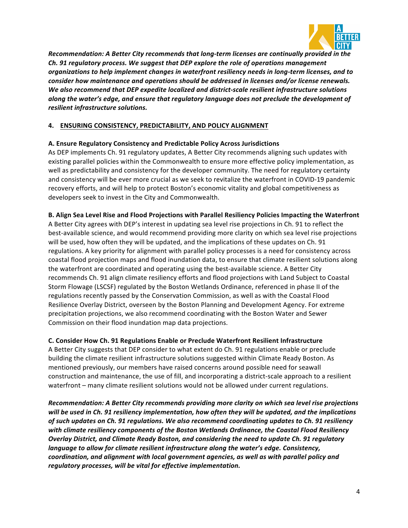

*Recommendation: A Better City recommends that long-term licenses are continually provided in the Ch. 91 regulatory process. We suggest that DEP explore the role of operations management*  organizations to help implement changes in waterfront resiliency needs in long-term licenses, and to *consider how maintenance and operations should be addressed in licenses and/or license renewals.* We also recommend that DEP expedite localized and district-scale resilient infrastructure solutions along the water's edge, and ensure that regulatory language does not preclude the development of *resilient infrastructure solutions.*

# **4. ENSURING CONSISTENCY, PREDICTABILITY, AND POLICY ALIGNMENT**

## **A. Ensure Regulatory Consistency and Predictable Policy Across Jurisdictions**

As DEP implements Ch. 91 regulatory updates, A Better City recommends aligning such updates with existing parallel policies within the Commonwealth to ensure more effective policy implementation, as well as predictability and consistency for the developer community. The need for regulatory certainty and consistency will be ever more crucial as we seek to revitalize the waterfront in COVID-19 pandemic recovery efforts, and will help to protect Boston's economic vitality and global competitiveness as developers seek to invest in the City and Commonwealth.

## **B. Align Sea Level Rise and Flood Projections with Parallel Resiliency Policies Impacting the Waterfront**

A Better City agrees with DEP's interest in updating sea level rise projections in Ch. 91 to reflect the best-available science, and would recommend providing more clarity on which sea level rise projections will be used, how often they will be updated, and the implications of these updates on Ch. 91 regulations. A key priority for alignment with parallel policy processes is a need for consistency across coastal flood projection maps and flood inundation data, to ensure that climate resilient solutions along the waterfront are coordinated and operating using the best-available science. A Better City recommends Ch. 91 align climate resiliency efforts and flood projections with Land Subject to Coastal Storm Flowage (LSCSF) regulated by the Boston Wetlands Ordinance, referenced in phase II of the regulations recently passed by the Conservation Commission, as well as with the Coastal Flood Resilience Overlay District, overseen by the Boston Planning and Development Agency. For extreme precipitation projections, we also recommend coordinating with the Boston Water and Sewer Commission on their flood inundation map data projections.

## **C. Consider How Ch. 91 Regulations Enable or Preclude Waterfront Resilient Infrastructure**

A Better City suggests that DEP consider to what extent do Ch. 91 regulations enable or preclude building the climate resilient infrastructure solutions suggested within Climate Ready Boston. As mentioned previously, our members have raised concerns around possible need for seawall construction and maintenance, the use of fill, and incorporating a district-scale approach to a resilient waterfront – many climate resilient solutions would not be allowed under current regulations.

*Recommendation:* A Better City recommends providing more clarity on which sea level rise projections will be used in Ch. 91 resiliency implementation, how often they will be updated, and the implications of such updates on Ch. 91 regulations. We also recommend coordinating updates to Ch. 91 resiliency with climate resiliency components of the Boston Wetlands Ordinance, the Coastal Flood Resiliency *Overlay District, and Climate Ready Boston, and considering the need to update Ch. 91 regulatory language to allow for climate resilient infrastructure along the water's edge. Consistency, coordination, and alignment with local government agencies, as well as with parallel policy and*  regulatory processes, will be vital for effective implementation.